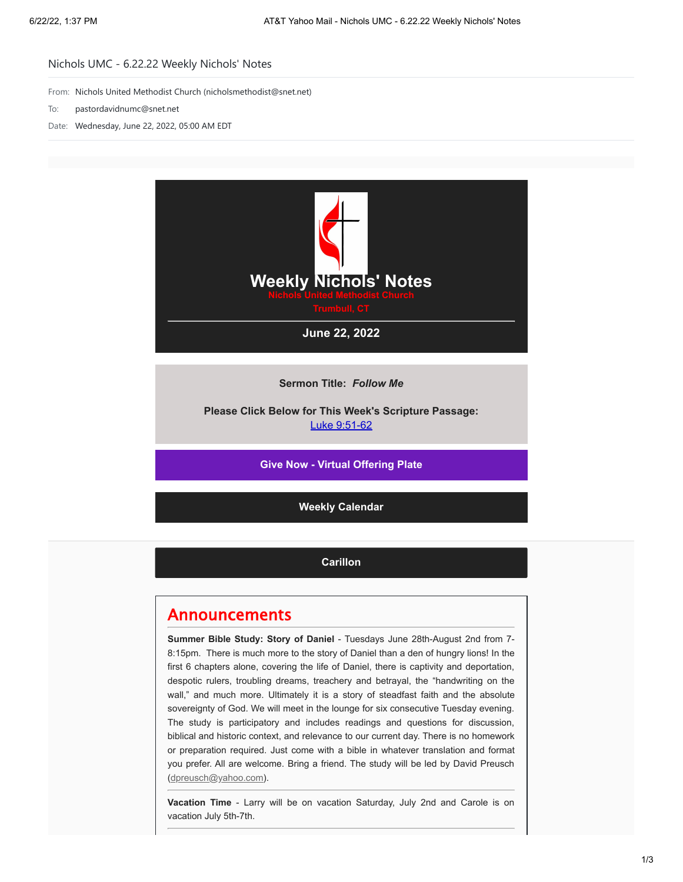## Nichols UMC - 6.22.22 Weekly Nichols' Notes

From: Nichols United Methodist Church (nicholsmethodist@snet.net)

- To: pastordavidnumc@snet.net
- Date: Wednesday, June 22, 2022, 05:00 AM EDT



**Sermon Title:** *Follow Me*

**Please Click Below for This Week's Scripture Passage:** [Luke 9:51-62](https://nicholsumc.us4.list-manage.com/track/click?u=d09532b52f4e74b81f543ac42&id=6299979f85&e=9e577d7e6a)

**[Give Now - Virtual Offering Plate](https://nicholsumc.us4.list-manage.com/track/click?u=d09532b52f4e74b81f543ac42&id=d50dcf2ea4&e=9e577d7e6a)**

**[Weekly Calendar](https://nicholsumc.us4.list-manage.com/track/click?u=d09532b52f4e74b81f543ac42&id=260964c0b8&e=9e577d7e6a)**

**[Carillon](https://nicholsumc.us4.list-manage.com/track/click?u=d09532b52f4e74b81f543ac42&id=ab731cfb34&e=9e577d7e6a)**

## Announcements

**Summer Bible Study: Story of Daniel** - Tuesdays June 28th-August 2nd from 7- 8:15pm. There is much more to the story of Daniel than a den of hungry lions! In the first 6 chapters alone, covering the life of Daniel, there is captivity and deportation, despotic rulers, troubling dreams, treachery and betrayal, the "handwriting on the wall," and much more. Ultimately it is a story of steadfast faith and the absolute sovereignty of God. We will meet in the lounge for six consecutive Tuesday evening. The study is participatory and includes readings and questions for discussion, biblical and historic context, and relevance to our current day. There is no homework or preparation required. Just come with a bible in whatever translation and format you prefer. All are welcome. Bring a friend. The study will be led by David Preusch [\(dpreusch@yahoo.com](mailto:dpreusch@yahoo.com)).

**Vacation Time** - Larry will be on vacation Saturday, July 2nd and Carole is on vacation July 5th-7th.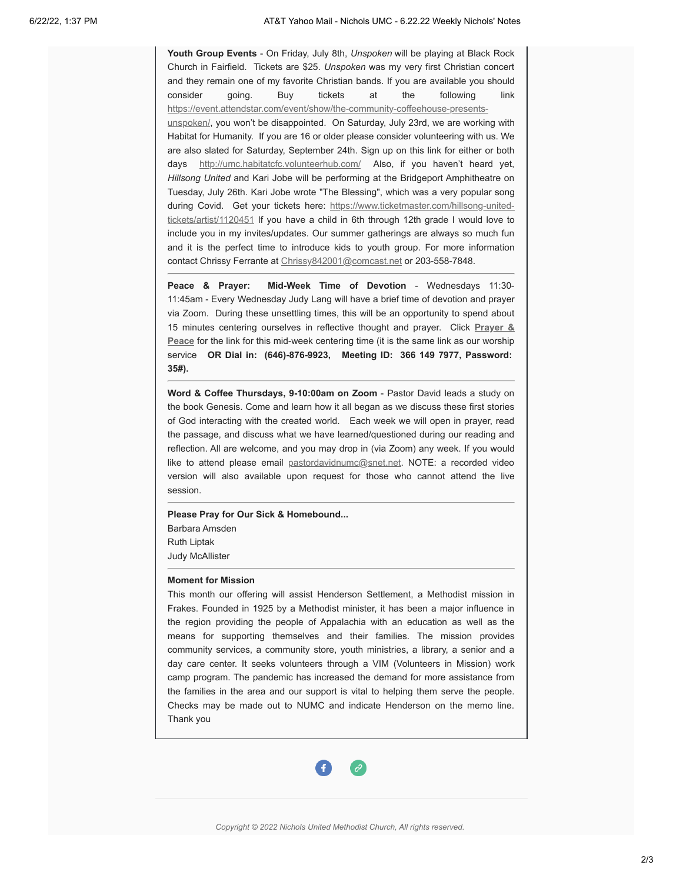**Youth Group Events** - On Friday, July 8th, *Unspoken* will be playing at Black Rock Church in Fairfield. Tickets are \$25. *Unspoken* was my very first Christian concert and they remain one of my favorite Christian bands. If you are available you should consider going. Buy tickets at the following link [https://event.attendstar.com/event/show/the-community-coffeehouse-presents](https://nicholsumc.us4.list-manage.com/track/click?u=d09532b52f4e74b81f543ac42&id=197b774c7c&e=9e577d7e6a)unspoken/, you won't be disappointed. On Saturday, July 23rd, we are working with Habitat for Humanity. If you are 16 or older please consider volunteering with us. We are also slated for Saturday, September 24th. Sign up on this link for either or both days [http://umc.habitatcfc.volunteerhub.com/](https://nicholsumc.us4.list-manage.com/track/click?u=d09532b52f4e74b81f543ac42&id=2d96b9d693&e=9e577d7e6a) Also, if you haven't heard yet, *Hillsong United* and Kari Jobe will be performing at the Bridgeport Amphitheatre on Tuesday, July 26th. Kari Jobe wrote "The Blessing", which was a very popular song during Covid. [Get your tickets here: https://www.ticketmaster.com/hillsong-united](https://nicholsumc.us4.list-manage.com/track/click?u=d09532b52f4e74b81f543ac42&id=e0b2b25cb3&e=9e577d7e6a)tickets/artist/1120451 If you have a child in 6th through 12th grade I would love to include you in my invites/updates. Our summer gatherings are always so much fun and it is the perfect time to introduce kids to youth group. For more information contact Chrissy Ferrante at [Chrissy842001@comcast.net](mailto:Chrissy842001@comcast.net) or 203-558-7848.

**Peace & Prayer: Mid-Week Time of Devotion** - Wednesdays 11:30- 11:45am - Every Wednesday Judy Lang will have a brief time of devotion and prayer via Zoom. During these unsettling times, this will be an opportunity to spend about 15 minutes centering ourselves in reflective thought and prayer. Click **Prayer & Peace** [for the link for this mid-week centering time \(it is the same link as our worship](https://nicholsumc.us4.list-manage.com/track/click?u=d09532b52f4e74b81f543ac42&id=f55a94e68b&e=9e577d7e6a) service **OR Dial in: (646)-876-9923, Meeting ID: 366 149 7977, Password: 35#).**

**Word & Coffee Thursdays, 9-10:00am on Zoom** - Pastor David leads a study on the book Genesis. Come and learn how it all began as we discuss these first stories of God interacting with the created world. Each week we will open in prayer, read the passage, and discuss what we have learned/questioned during our reading and reflection. All are welcome, and you may drop in (via Zoom) any week. If you would like to attend please email [pastordavidnumc@snet.net.](mailto:pastordavidnumc@snet.net) NOTE: a recorded video version will also available upon request for those who cannot attend the live session.

**Please Pray for Our Sick & Homebound...** Barbara Amsden Ruth Liptak Judy McAllister

## **Moment for Mission**

This month our offering will assist Henderson Settlement, a Methodist mission in Frakes. Founded in 1925 by a Methodist minister, it has been a major influence in the region providing the people of Appalachia with an education as well as the means for supporting themselves and their families. The mission provides community services, a community store, youth ministries, a library, a senior and a day care center. It seeks volunteers through a VIM (Volunteers in Mission) work camp program. The pandemic has increased the demand for more assistance from the families in the area and our support is vital to helping them serve the people. Checks may be made out to NUMC and indicate Henderson on the memo line. Thank you